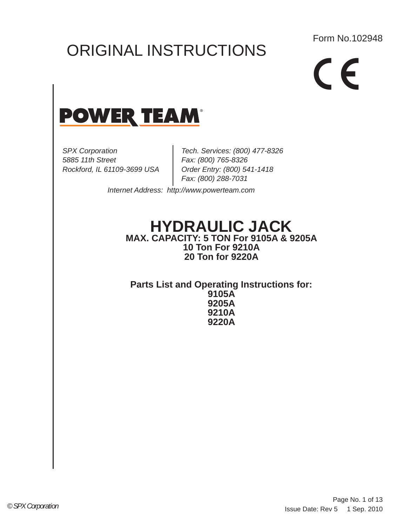# ORIGINAL INSTRUCTIONS

### Form No.102948

 $C\in$ 



*SPX Corporation 5885 11th Street Rockford, IL 61109-3699 USA* *Tech. Services: (800) 477-8326 Fax: (800) 765-8326 Order Entry: (800) 541-1418 Fax: (800) 288-7031*

*Internet Address: http://www.powerteam.com*

### **HYDRAULIC JACK MAX. CAPACITY: 5 TON For 9105A & 9205A 10 Ton For 9210A 20 Ton for 9220A**

**Parts List and Operating Instructions for: 9105A 9205A 9210A 9220A**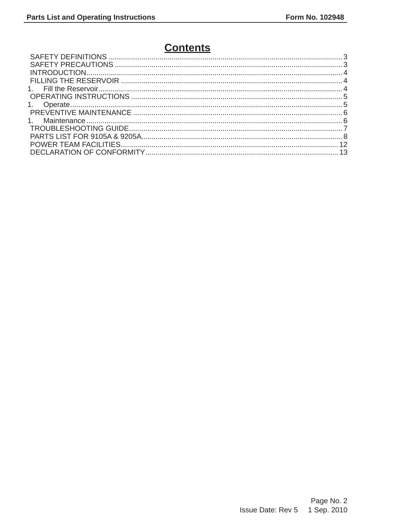### **Contents**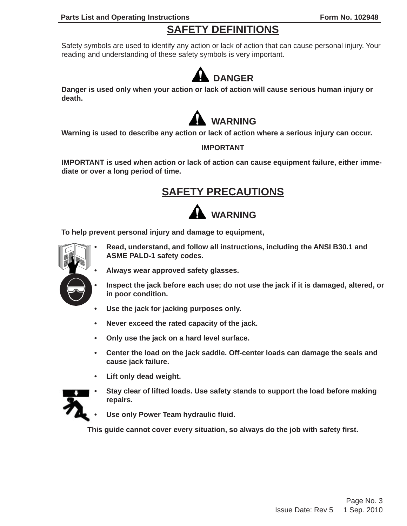### **SAFETY DEFINITIONS**

Safety symbols are used to identify any action or lack of action that can cause personal injury. Your reading and understanding of these safety symbols is very important.



**Danger is used only when your action or lack of action will cause serious human injury or death.**



**Warning is used to describe any action or lack of action where a serious injury can occur.**

#### **IMPORTANT**

**IMPORTANT is used when action or lack of action can cause equipment failure, either immediate or over a long period of time.**

### **SAFETY PRECAUTIONS**



**To help prevent personal injury and damage to equipment,**



- **Read, understand, and follow all instructions, including the ANSI B30.1 and ASME PALD-1 safety codes.**
- **Always wear approved safety glasses.**
- **Inspect the jack before each use; do not use the jack if it is damaged, altered, or in poor condition.**
- **Use the jack for jacking purposes only.**
- **Never exceed the rated capacity of the jack.**
- **Only use the jack on a hard level surface.**
- **Center the load on the jack saddle. Off-center loads can damage the seals and cause jack failure.**
- **Lift only dead weight.**



- **Stay clear of lifted loads. Use safety stands to support the load before making repairs.**
- **Use only Power Team hydraulic fl uid.**

**This guide cannot cover every situation, so always do the job with safety fi rst.**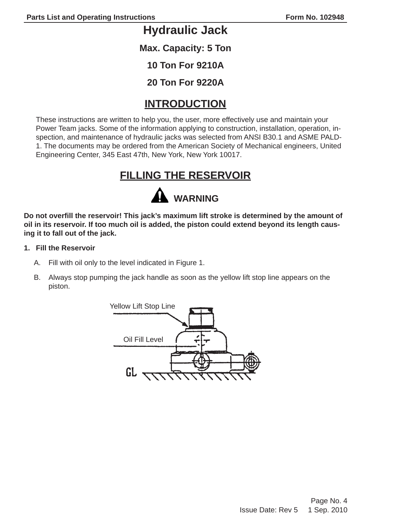### **Hydraulic Jack**

#### **Max. Capacity: 5 Ton**

**10 Ton For 9210A**

**20 Ton For 9220A**

### **INTRODUCTION**

These instructions are written to help you, the user, more effectively use and maintain your Power Team jacks. Some of the information applying to construction, installation, operation, inspection, and maintenance of hydraulic jacks was selected from ANSI B30.1 and ASME PALD-1. The documents may be ordered from the American Society of Mechanical engineers, United Engineering Center, 345 East 47th, New York, New York 10017.

> **FILLING THE RESERVOIR WARNING**

**Do not overfi ll the reservoir! This jack's maximum lift stroke is determined by the amount of oil in its reservoir. If too much oil is added, the piston could extend beyond its length causing it to fall out of the jack.**

- **1. Fill the Reservoir**
	- A. Fill with oil only to the level indicated in Figure 1.
	- B. Always stop pumping the jack handle as soon as the yellow lift stop line appears on the piston.

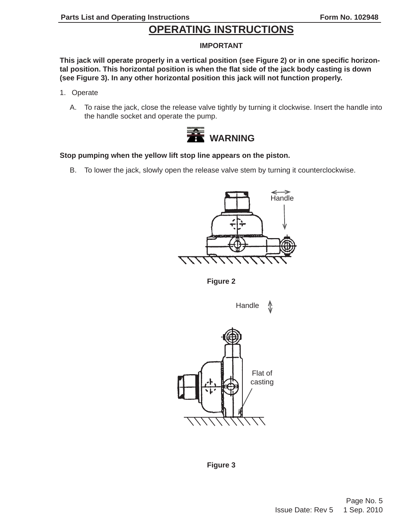### **OPERATING INSTRUCTIONS**

#### **IMPORTANT**

This jack will operate properly in a vertical position (see Figure 2) or in one specific horizontal position. This horizontal position is when the flat side of the jack body casting is down **(see Figure 3). In any other horizontal position this jack will not function properly.**

- 1. Operate
	- A. To raise the jack, close the release valve tightly by turning it clockwise. Insert the handle into the handle socket and operate the pump.



#### **Stop pumping when the yellow lift stop line appears on the piston.**

B. To lower the jack, slowly open the release valve stem by turning it counterclockwise.



**Figure 2**

Handle



**Figure 3**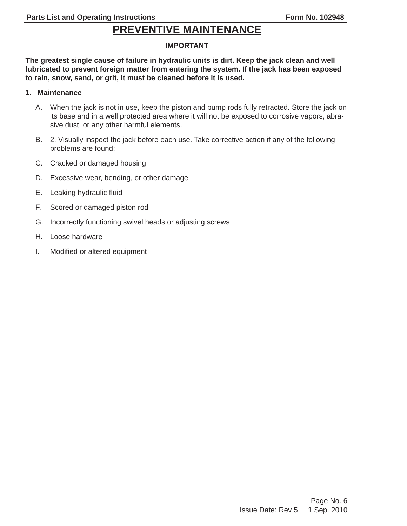### **PREVENTIVE MAINTENANCE**

#### **IMPORTANT**

**The greatest single cause of failure in hydraulic units is dirt. Keep the jack clean and well lubricated to prevent foreign matter from entering the system. If the jack has been exposed to rain, snow, sand, or grit, it must be cleaned before it is used.**

#### **1. Maintenance**

- A. When the jack is not in use, keep the piston and pump rods fully retracted. Store the jack on its base and in a well protected area where it will not be exposed to corrosive vapors, abrasive dust, or any other harmful elements.
- B. 2. Visually inspect the jack before each use. Take corrective action if any of the following problems are found:
- C. Cracked or damaged housing
- D. Excessive wear, bending, or other damage
- E. Leaking hydraulic fluid
- F. Scored or damaged piston rod
- G. Incorrectly functioning swivel heads or adjusting screws
- H. Loose hardware
- I. Modified or altered equipment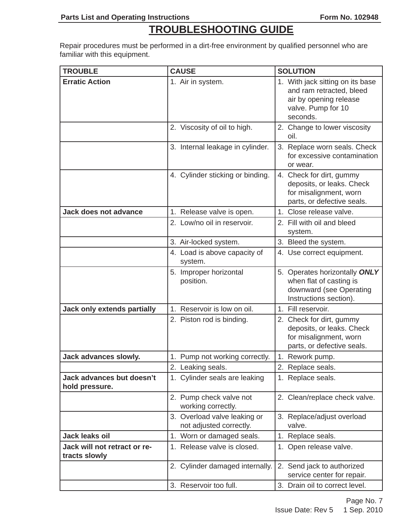### **TROUBLESHOOTING GUIDE**

Repair procedures must be performed in a dirt-free environment by qualified personnel who are familiar with this equipment.

| <b>TROUBLE</b>                                | <b>CAUSE</b>                                            |                                                                                                                          |
|-----------------------------------------------|---------------------------------------------------------|--------------------------------------------------------------------------------------------------------------------------|
| <b>Erratic Action</b>                         | 1. Air in system.                                       | 1. With jack sitting on its base<br>and ram retracted, bleed<br>air by opening release<br>valve. Pump for 10<br>seconds. |
|                                               | 2. Viscosity of oil to high.                            | 2. Change to lower viscosity<br>oil.                                                                                     |
|                                               | 3. Internal leakage in cylinder.                        | 3. Replace worn seals. Check<br>for excessive contamination<br>or wear.                                                  |
|                                               | 4. Cylinder sticking or binding.                        | 4. Check for dirt, gummy<br>deposits, or leaks. Check<br>for misalignment, worn<br>parts, or defective seals.            |
| Jack does not advance                         | 1. Release valve is open.                               | 1. Close release valve.                                                                                                  |
|                                               | 2. Low/no oil in reservoir.                             | 2. Fill with oil and bleed<br>system.                                                                                    |
|                                               | 3. Air-locked system.                                   | 3. Bleed the system.                                                                                                     |
|                                               | 4. Load is above capacity of<br>system.                 | 4. Use correct equipment.                                                                                                |
|                                               | 5. Improper horizontal<br>position.                     | 5. Operates horizontally ONLY<br>when flat of casting is<br>downward (see Operating<br>Instructions section).            |
| Jack only extends partially                   | 1. Reservoir is low on oil.                             | 1. Fill reservoir.                                                                                                       |
|                                               | 2. Piston rod is binding.                               | 2. Check for dirt, gummy<br>deposits, or leaks. Check<br>for misalignment, worn<br>parts, or defective seals.            |
| Jack advances slowly.                         | 1. Pump not working correctly.                          | 1. Rework pump.                                                                                                          |
|                                               | 2. Leaking seals.                                       | 2. Replace seals.                                                                                                        |
| Jack advances but doesn't<br>hold pressure.   | 1. Cylinder seals are leaking                           | 1. Replace seals.                                                                                                        |
|                                               | 2. Pump check valve not<br>working correctly.           | 2. Clean/replace check valve.                                                                                            |
|                                               | 3. Overload valve leaking or<br>not adjusted correctly. | 3. Replace/adjust overload<br>valve.                                                                                     |
| Jack leaks oil                                | 1. Worn or damaged seals.                               | Replace seals.<br>1.                                                                                                     |
| Jack will not retract or re-<br>tracts slowly | 1. Release valve is closed.                             | 1. Open release valve.                                                                                                   |
|                                               | 2. Cylinder damaged internally.                         | 2. Send jack to authorized<br>service center for repair.                                                                 |
|                                               | 3. Reservoir too full.                                  | 3. Drain oil to correct level.                                                                                           |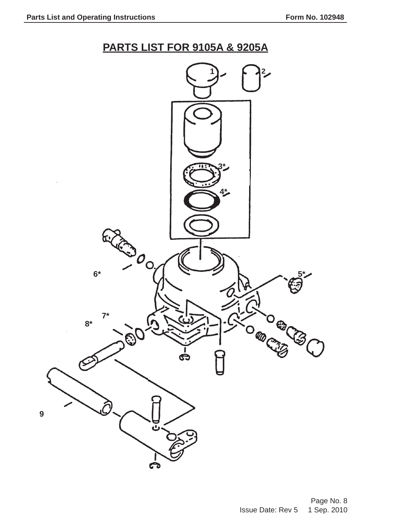### **PARTS LIST FOR 9105A & 9205A**

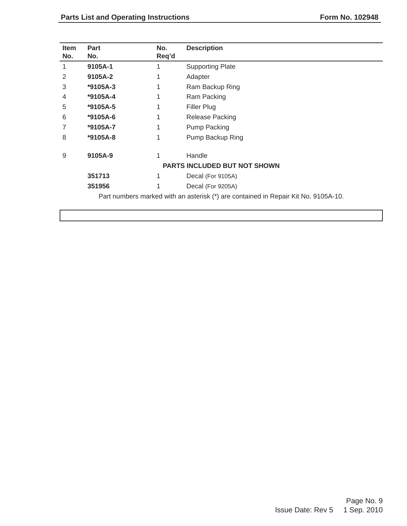| <b>Item</b> | Part                                                                               | No.   | <b>Description</b>      |  |  |  |
|-------------|------------------------------------------------------------------------------------|-------|-------------------------|--|--|--|
| No.         | No.                                                                                | Req'd |                         |  |  |  |
| 1           | 9105A-1                                                                            |       | <b>Supporting Plate</b> |  |  |  |
| 2           | 9105A-2                                                                            |       | Adapter                 |  |  |  |
| 3           | $*9105A-3$                                                                         |       | Ram Backup Ring         |  |  |  |
| 4           | *9105A-4                                                                           |       | Ram Packing             |  |  |  |
| 5           | *9105A-5                                                                           |       | <b>Filler Plug</b>      |  |  |  |
| 6           | *9105A-6                                                                           |       | Release Packing         |  |  |  |
| 7           | *9105A-7                                                                           |       | <b>Pump Packing</b>     |  |  |  |
| 8           | *9105A-8                                                                           | 1     | Pump Backup Ring        |  |  |  |
| 9           | 9105A-9                                                                            | 1     | Handle                  |  |  |  |
|             | <b>PARTS INCLUDED BUT NOT SHOWN</b>                                                |       |                         |  |  |  |
|             | 351713                                                                             |       | Decal (For 9105A)       |  |  |  |
|             | 351956                                                                             |       | Decal (For 9205A)       |  |  |  |
|             | Part numbers marked with an asterisk (*) are contained in Repair Kit No. 9105A-10. |       |                         |  |  |  |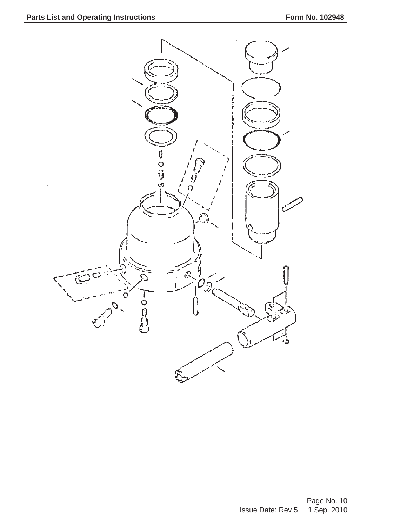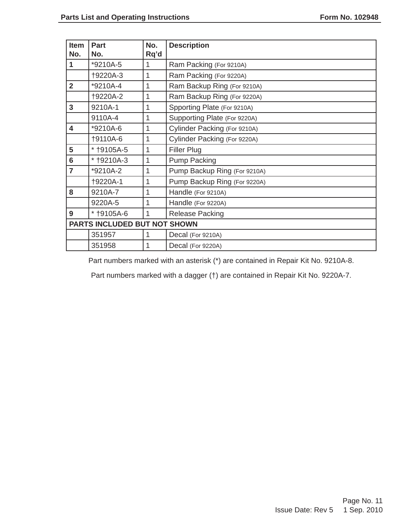| <b>Item</b><br>No.           | <b>Part</b><br>No. | No.<br>Rq'd  | <b>Description</b>           |  |  |
|------------------------------|--------------------|--------------|------------------------------|--|--|
| 1                            | *9210A-5           | 1            | Ram Packing (For 9210A)      |  |  |
|                              | †9220A-3           | 1            | Ram Packing (For 9220A)      |  |  |
| $\overline{2}$               | *9210A-4           | 1            | Ram Backup Ring (For 9210A)  |  |  |
|                              | <b>†9220A-2</b>    | 1            | Ram Backup Ring (For 9220A)  |  |  |
| $\mathbf{3}$                 | 9210A-1            | 1            | Spporting Plate (For 9210A)  |  |  |
|                              | 9110A-4            | 1            | Supporting Plate (For 9220A) |  |  |
| 4                            | *9210A-6           | 1            | Cylinder Packing (For 9210A) |  |  |
|                              | <b>†9110A-6</b>    | 1            | Cylinder Packing (For 9220A) |  |  |
| 5                            | * †9105A-5         | 1            | <b>Filler Plug</b>           |  |  |
| $6\phantom{1}6$              | * †9210A-3         | 1            | <b>Pump Packing</b>          |  |  |
| $\overline{7}$               | *9210A-2           | 1            | Pump Backup Ring (For 9210A) |  |  |
|                              | <b>†9220A-1</b>    | 1            | Pump Backup Ring (For 9220A) |  |  |
| 8                            | 9210A-7            | 1            | Handle (For 9210A)           |  |  |
|                              | 9220A-5            | $\mathbf{1}$ | Handle (For 9220A)           |  |  |
| 9                            | * †9105A-6         | 1            | <b>Release Packing</b>       |  |  |
| PARTS INCLUDED BUT NOT SHOWN |                    |              |                              |  |  |
|                              | 351957             | 1            | Decal (For 9210A)            |  |  |
|                              | 351958             | 1            | Decal (For 9220A)            |  |  |

Part numbers marked with an asterisk (\*) are contained in Repair Kit No. 9210A-8.

Part numbers marked with a dagger (†) are contained in Repair Kit No. 9220A-7.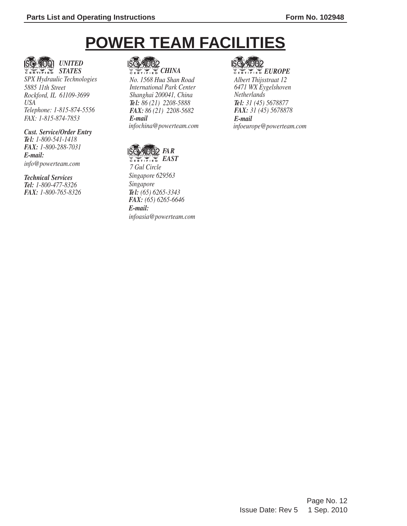## **POWER TEAM FACILITIES**



#### *UNITED STATES*

*SPX Hydraulic Technologies 5885 11th Street Rockford, IL 61109-3699 USA Telephone: 1-815-874-5556 FAX: 1-815-874-7853*

#### *Cust. Service/Order Entry Tel: 1-800-541-1418 FAX: 1-800-288-7031 E-mail: info@powerteam.com*

*Technical Services Tel: 1-800-477-8326 FAX: 1-800-765-8326*



*No. 1568 Hua Shan Road International Park Center Shanghai 200041, China Tel: 86 (21) 2208-5888 FAX: 86 (21) 2208-5682 E-mail infochina@powerteam.com*



*Singapore Singapore 629563 Tel: (65) 6265-3343 FAX: (65) 6265-6646 E-mail: infoasia@powerteam.com 7 Gul Circle* 



**EUROPE** *Albert Thijsstraat 12 6471 WX Eygelshoven Netherlands Tel: 31 (45) 5678877 FAX: 31 (45) 5678878 E-mail infoeurope@powerteam.com*